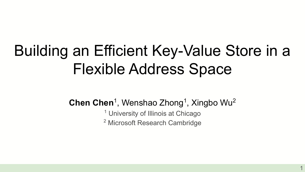# Building an Efficient Key-Value Store in a Flexible Address Space

**Chen Chen**<sup>1</sup>, Wenshao Zhong<sup>1</sup>, Xingbo Wu<sup>2</sup>

<sup>1</sup> University of Illinois at Chicago <sup>2</sup> Microsoft Research Cambridge

1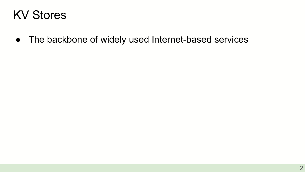#### KV Stores

● The backbone of widely used Internet-based services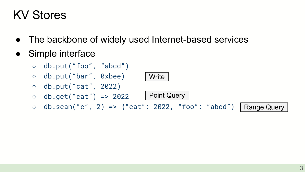#### KV Stores

- The backbone of widely used Internet-based services
- Simple interface
	- db.put("foo", "abcd")
	- db.put("bar", 0xbee)
	- $\circ$  db.put("cat", 2022)
	- $\circ$  db.get("cat") => 2022
	- db.scan("c", 2) => {"cat": 2022, "foo": "abcd"} | Range Query

Point Query

**Write**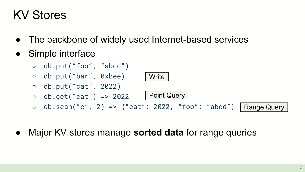#### KV Stores

- The backbone of widely used Internet-based services
- Simple interface



Major KV stores manage **sorted data** for range queries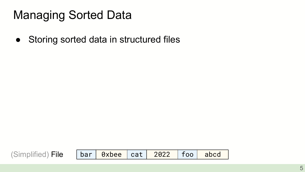● Storing sorted data in structured files

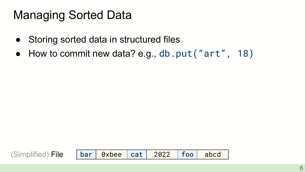- Storing sorted data in structured files
- How to commit new data? e.g., db.put ("art", 18)

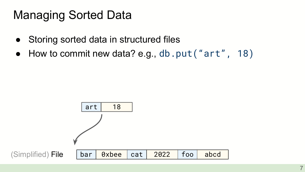- Storing sorted data in structured files
- How to commit new data? e.g., db.put ("art", 18)

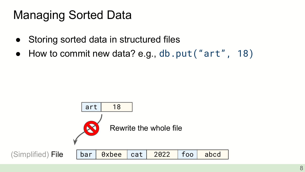- Storing sorted data in structured files
- How to commit new data? e.g., db.put("art",  $18)$

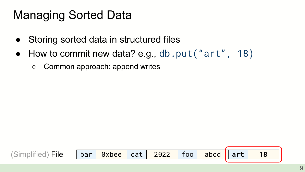- Storing sorted data in structured files
- How to commit new data? e.g., db.put ("art", 18)
	- Common approach: append writes

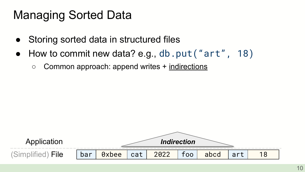- Storing sorted data in structured files
- How to commit new data? e.g., db.put ("art", 18)
	- Common approach: append writes + indirections

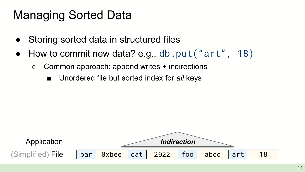- Storing sorted data in structured files
- How to commit new data? e.g., db.put("art", 18)
	- $\circ$  Common approach: append writes  $+$  indirections
		- Unordered file but sorted index for *all* keys

(Simplified) File bar 0xbee cat 2022 foo abcd art 18 Application *Indirection*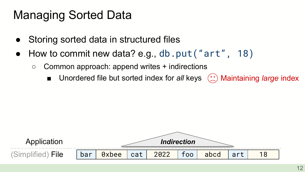- Storing sorted data in structured files
- How to commit new data? e.g., db.put ("art", 18)
	- $\circ$  Common approach: append writes  $+$  indirections
		- Unordered file but sorted index for *all* keys (<u>;</u><sup>\*</sup>) Maintaining *large* index

(Simplified) File bar 0xbee cat 2022 foo abcd art 18 Application *Indirection*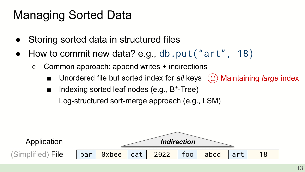- Storing sorted data in structured files
- How to commit new data? e.g., db.put("art", 18)
	- $\circ$  Common approach: append writes  $+$  indirections
		- Unordered file but sorted index for *all* keys (<u>;</u><sup>\*</sup>) Maintaining *large* index
		- Indexing sorted leaf nodes (e.g., B<sup>+</sup>-Tree) Log-structured sort-merge approach (e.g., LSM)

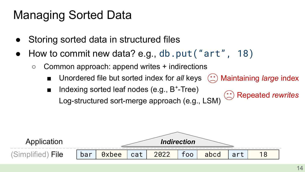- Storing sorted data in structured files
- How to commit new data? e.g., db.put("art", 18)
	- $\circ$  Common approach: append writes  $+$  indirections
		- Unordered file but sorted index for *all* keys Maintaining *large* index
		- Indexing sorted leaf nodes (e.g., B<sup>+</sup>-Tree) Log-structured sort-merge approach (e.g., LSM) Repeated *rewrites*

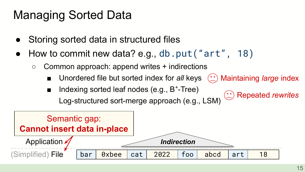- Storing sorted data in structured files
- How to commit new data? e.g., db.put("art", 18)
	- $\circ$  Common approach: append writes  $+$  indirections
		- Unordered file but sorted index for *all* keys Maintaining *large* index
		- Indexing sorted leaf nodes (e.g., B<sup>+</sup>-Tree) Log-structured sort-merge approach (e.g., LSM) Repeated *rewrites*

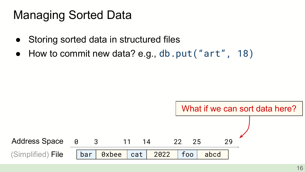- Storing sorted data in structured files
- How to commit new data? e.g., db.put("art",  $18$ )

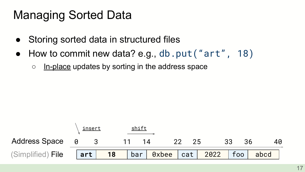- Storing sorted data in structured files
- How to commit new data? e.g., db.put ("art", 18)
	- o In-place updates by sorting in the address space

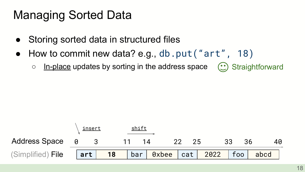- Storing sorted data in structured files
- How to commit new data? e.g., db.put ("art",  $18$ )
	- **Straightforward**  $\circ$  In-place updates by sorting in the address space  $(\cdot)$

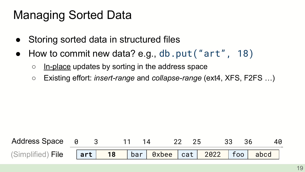- Storing sorted data in structured files
- How to commit new data? e.g., db.put("art",  $18$ )
	- $\circ$  In-place updates by sorting in the address space
	- Existing effort: *insert-range* and *collapse-range* (ext4, XFS, F2FS …)

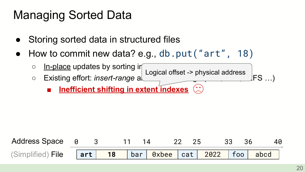- Storing sorted data in structured files
- How to commit new data? e.g., db.put("art", 18)
	- In-place updates by sorting in o Existing effort: *insert-range* and **collapse collapse-range** (FS ...) Logical offset -> physical address
		- **■ Inefficient shifting in extent indexes**

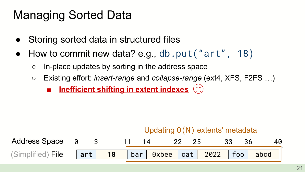- Storing sorted data in structured files
- How to commit new data? e.g., db.put("art",  $18$ )
	- $\circ$  In-place updates by sorting in the address space
	- Existing effort: *insert-range* and *collapse-range* (ext4, XFS, F2FS …)
		- **■ Inefficient shifting in extent indexes**

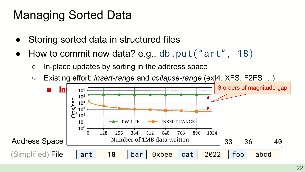- Storing sorted data in structured files
- How to commit new data? e.g., db.put("art", 18)
	- $\circ$  In-place updates by sorting in the address space

○ Existing effort: *insert-range* and *collapse-range* (ext4, XFS, F2FS …)

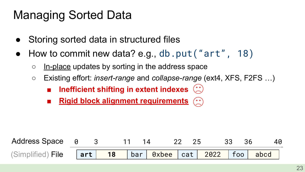- Storing sorted data in structured files
- How to commit new data? e.g., db.put("art",  $18$ )
	- $\circ$  In-place updates by sorting in the address space
	- Existing effort: *insert-range* and *collapse-range* (ext4, XFS, F2FS …)
		- **■** Inefficient shifting in extent indexes  $\binom{(*)}{*}$
		- **Rigid block alignment requirements**  $( \cdot )$

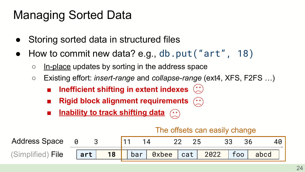- Storing sorted data in structured files
- How to commit new data? e.g., db.put ("art", 18)
	- $\circ$  In-place updates by sorting in the address space
	- Existing effort: *insert-range* and *collapse-range* (ext4, XFS, F2FS …)
		- **Inefficient shifting in extent indexes** ( $\hat{ }$
		- **Rigid block alignment requirements**  $(\cdot)$
		- **Inability to track shifting data**  $( \circ \circ )$

#### The offsets can easily change

| Address Space 0   |                                                   |    |  |  |  |  |  |
|-------------------|---------------------------------------------------|----|--|--|--|--|--|
| (Simplified) File | $\left\vert \boldsymbol{\mathsf{art}}\right\vert$ | 18 |  |  |  |  |  |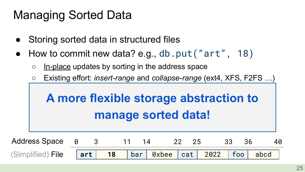- Storing sorted data in structured files
- $\bullet$  How to commit new data? e.g., db.put ("art", 18)
	- $\circ$  In-place updates by sorting in the address space
	- Existing effort: *insert-range* and *collapse-range* (ext4, XFS, F2FS …)

#### **■ Inefficient shifting in extent indexes A more flexible storage abstraction to The manage sorted data!**

| Address Space 0   |  |  | 22 |  | 33 |                                                          |
|-------------------|--|--|----|--|----|----------------------------------------------------------|
| (Simplified) File |  |  |    |  |    | $\vert$ art   18   bar   0xbee   cat   2022   foo   abcd |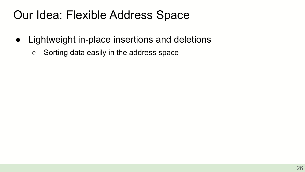- Lightweight in-place insertions and deletions
	- Sorting data easily in the address space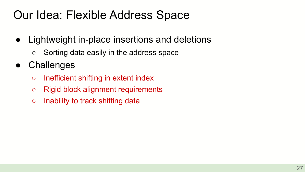- Lightweight in-place insertions and deletions
	- Sorting data easily in the address space
- **Challenges** 
	- Inefficient shifting in extent index
	- Rigid block alignment requirements
	- Inability to track shifting data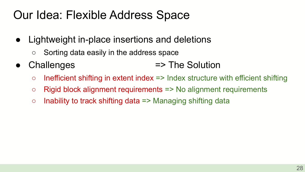- Lightweight in-place insertions and deletions
	- Sorting data easily in the address space
- Challenges => The Solution
	- $\circ$  Inefficient shifting in extent index  $\Rightarrow$  Index structure with efficient shifting
	- Rigid block alignment requirements => No alignment requirements
	- $\circ$  Inability to track shifting data => Managing shifting data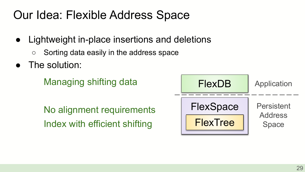- Lightweight in-place insertions and deletions
	- Sorting data easily in the address space
- The solution:

Managing shifting data

No alignment requirements Index with efficient shifting

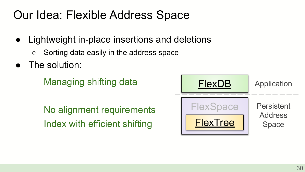- Lightweight in-place insertions and deletions
	- Sorting data easily in the address space
- The solution:

Managing shifting data

No alignment requirements Index with efficient shifting

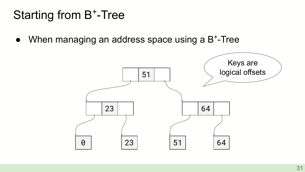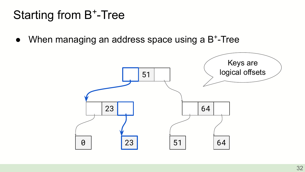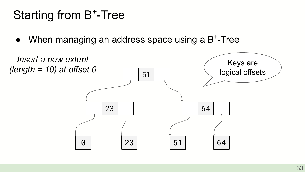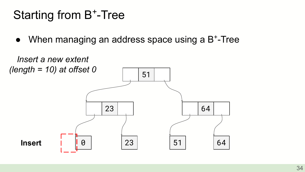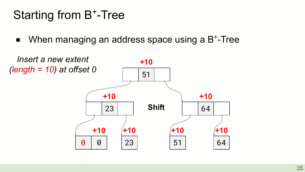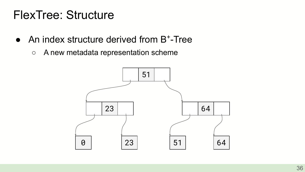#### FlexTree: Structure

- An index structure derived from B<sup>+</sup>-Tree
	- A new metadata representation scheme

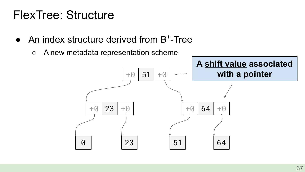#### FlexTree: Structure

- An index structure derived from B<sup>+</sup>-Tree
	- A new metadata representation scheme

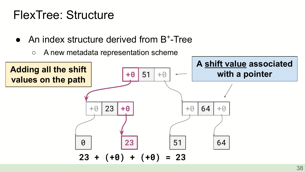#### FlexTree: Structure

- An index structure derived from B<sup>+</sup>-Tree
	- A new metadata representation scheme

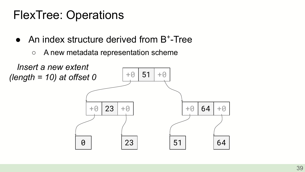- An index structure derived from B<sup>+</sup>-Tree
	- A new metadata representation scheme

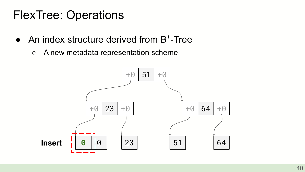- An index structure derived from B<sup>+</sup>-Tree
	- A new metadata representation scheme

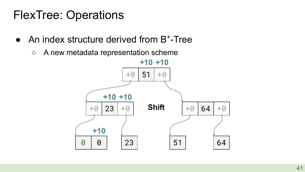- An index structure derived from B<sup>+</sup>-Tree
	- A new metadata representation scheme

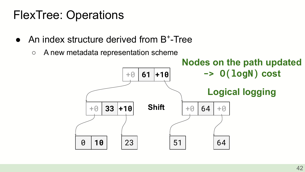- An index structure derived from B<sup>+</sup>-Tree
	- A new metadata representation scheme

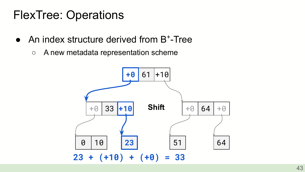- An index structure derived from B<sup>+</sup>-Tree
	- A new metadata representation scheme

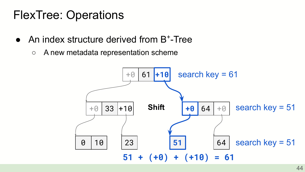- An index structure derived from B<sup>+</sup>-Tree
	- A new metadata representation scheme

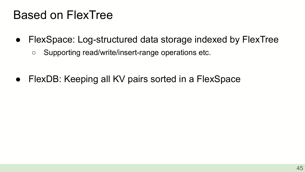#### Based on FlexTree

- FlexSpace: Log-structured data storage indexed by FlexTree
	- Supporting read/write/insert-range operations etc.
- FlexDB: Keeping all KV pairs sorted in a FlexSpace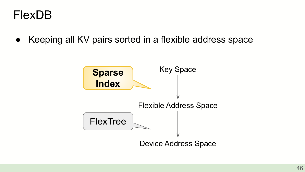#### FlexDB

● Keeping all KV pairs sorted in a flexible address space

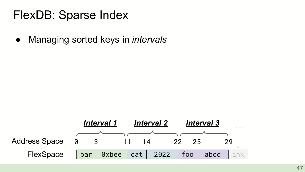● Managing sorted keys in *intervals*

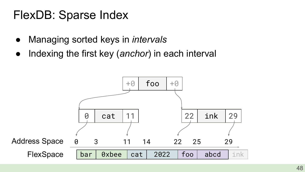- Managing sorted keys in *intervals*
- Indexing the first key (*anchor*) in each interval

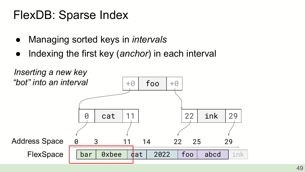- Managing sorted keys in *intervals*
- Indexing the first key (*anchor*) in each interval

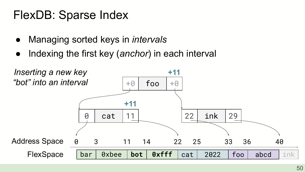- Managing sorted keys in *intervals*
- Indexing the first key (*anchor*) in each interval

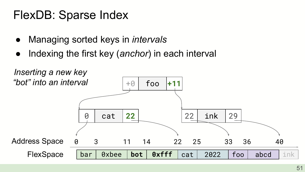- Managing sorted keys in *intervals*
- Indexing the first key (*anchor*) in each interval

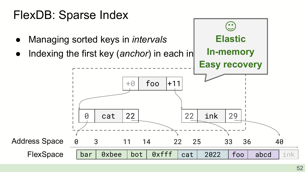

Indexing the first key (*anchor*) in each in



 $\bullet$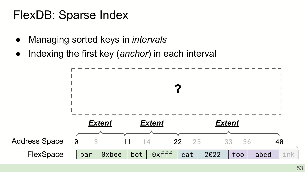- Managing sorted keys in *intervals*
- Indexing the first key (*anchor*) in each interval

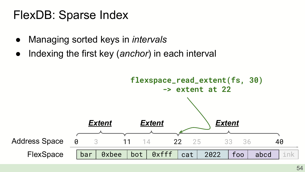- Managing sorted keys in *intervals*
- Indexing the first key (*anchor*) in each interval

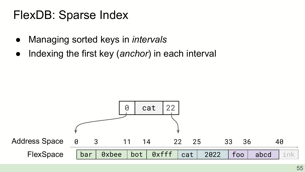- Managing sorted keys in *intervals*
- Indexing the first key (*anchor*) in each interval

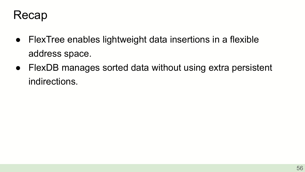

- FlexTree enables lightweight data insertions in a flexible address space.
- FlexDB manages sorted data without using extra persistent indirections.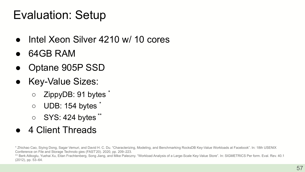## Evaluation: Setup

- Intel Xeon Silver 4210 w/ 10 cores
- 64GB RAM
- Optane 905P SSD
- Key-Value Sizes:
	- ZippyDB: 91 bytes \*
	- UDB: 154 bytes \*
	- SYS: 424 bytes \*\*
- 4 Client Threads

\* Zhichao Cao, Siying Dong, Sagar Vemuri, and David H. C. Du. "Characterizing, Modeling, and Benchmarking RocksDB Key-Value Workloads at Facebook". In: 18th USENIX Conference on File and Storage Technolo gies (FAST'20). 2020, pp. 209–223.

\*\* Berk Atikoglu, Yuehai Xu, Eitan Frachtenberg, Song Jiang, and Mike Paleczny. "Workload Analysis of a Large-Scale Key-Value Store". In: SIGMETRICS Per form. Eval. Rev. 40.1 (2012), pp. 53–64.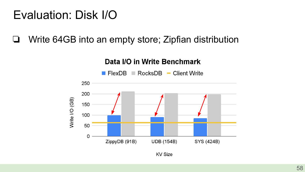#### Evaluation: Disk I/O

❏ Write 64GB into an empty store; Zipfian distribution

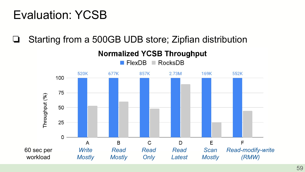❏ Starting from a 500GB UDB store; Zipfian distribution

**Normalized YCSB Throughput** 

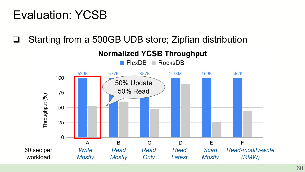❏ Starting from a 500GB UDB store; Zipfian distribution

**RocksDB**  $\blacksquare$  FlexDB **COL** 520K 677K 857K  $2.73M$ **169K** 552K 100 50% Update 50% Read75 Throughput (%) 50 25 0 B  $\mathsf{C}$ E F  $\overline{A}$ D 60 sec per *Write Read Read Read Scan Read-modify-write* workload *Mostly Mostly Latest Mostly (RMW) Only*

**Normalized YCSB Throughput**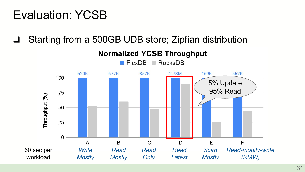❏ Starting from a 500GB UDB store; Zipfian distribution

520K 677K 857K  $2.73M$ **169K** 552K 100 5% Update 95% Read75 Throughput (%) 50 25 0 B  $\mathsf{C}$  $\mathsf{D}$ E F A 60 sec per *Write Read Read Read Scan Read-modify-write* workload *Mostly Mostly Latest Mostly (RMW) Only*

**Normalized YCSB Throughput**  $\blacksquare$  FlexDB **COL RocksDB**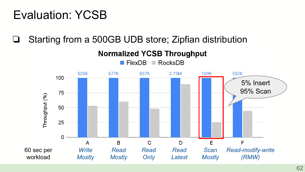❏ Starting from a 500GB UDB store; Zipfian distribution

 $\blacksquare$  FlexDB

520K 677K 857K  $2.73M$ 169K 552K 100 5% Insert 95% Scan75 Throughput (%) 50 25 0 B  $\mathsf{C}$ D  $\mathsf{F}$ F A 60 sec per *Write Read Read Read Scan Read-modify-write* workload *(RMW) Mostly Mostly Latest Mostly Only*

**Normalized YCSB Throughput** 

**COL** 

**RocksDB**